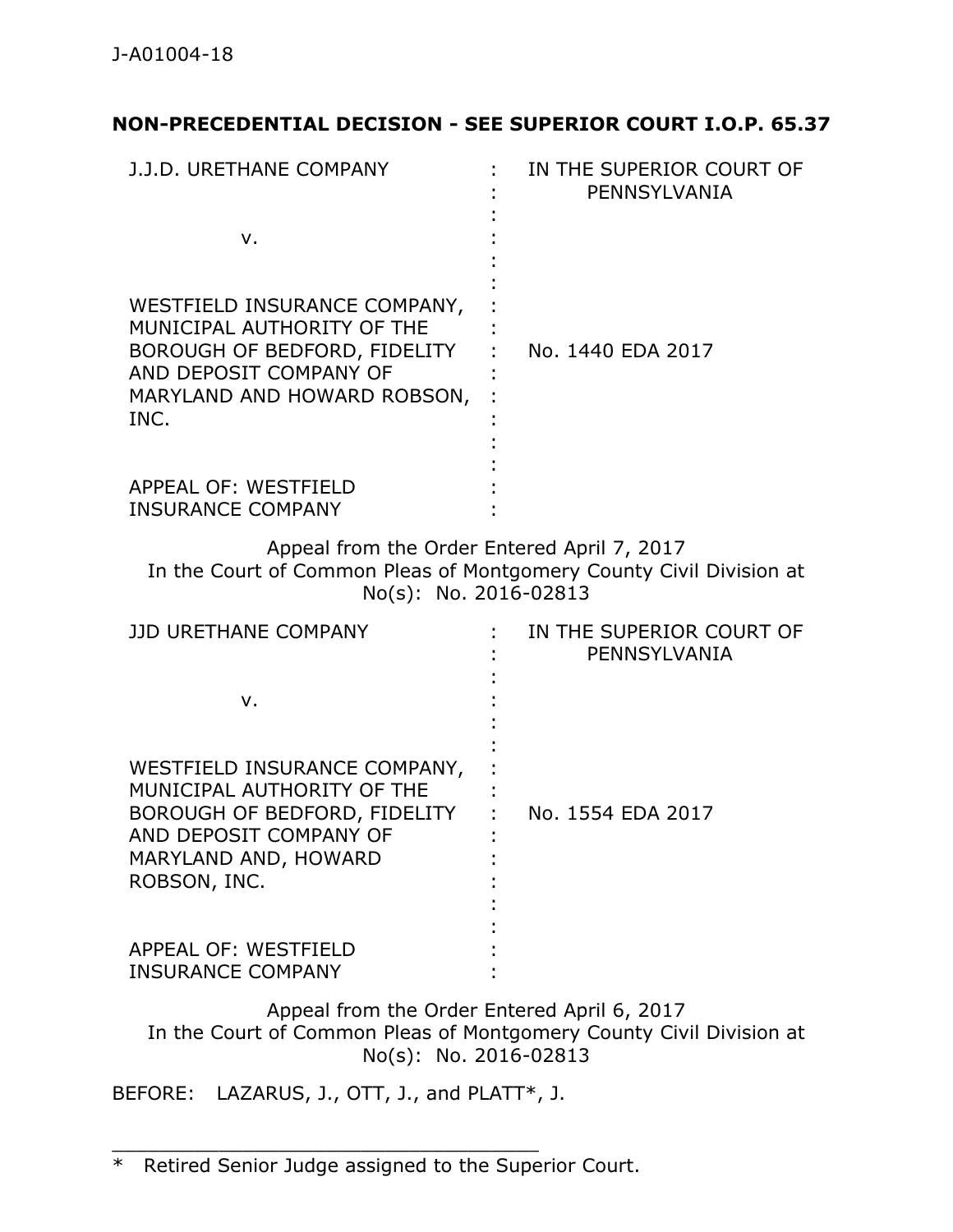# **NON-PRECEDENTIAL DECISION - SEE SUPERIOR COURT I.O.P. 65.37**

| J.J.D. URETHANE COMPANY                                                                                                                                      | IN THE SUPERIOR COURT OF<br>PENNSYLVANIA |
|--------------------------------------------------------------------------------------------------------------------------------------------------------------|------------------------------------------|
| $V_{\cdot}$                                                                                                                                                  |                                          |
| WESTFIELD INSURANCE COMPANY,<br>MUNICIPAL AUTHORITY OF THE<br>BOROUGH OF BEDFORD, FIDELITY<br>AND DEPOSIT COMPANY OF<br>MARYLAND AND HOWARD ROBSON,<br>INC.  | No. 1440 EDA 2017                        |
| <b>APPEAL OF: WESTFIELD</b><br><b>INSURANCE COMPANY</b>                                                                                                      |                                          |
| Appeal from the Order Entered April 7, 2017<br>In the Court of Common Pleas of Montgomery County Civil Division at<br>No(s): No. 2016-02813                  |                                          |
| JJD URETHANE COMPANY                                                                                                                                         | IN THE SUPERIOR COURT OF<br>PENNSYLVANIA |
| v.                                                                                                                                                           |                                          |
| WESTFIELD INSURANCE COMPANY,<br>MUNICIPAL AUTHORITY OF THE<br>BOROUGH OF BEDFORD, FIDELITY<br>AND DEPOSIT COMPANY OF<br>MARYLAND AND, HOWARD<br>ROBSON, INC. | No. 1554 EDA 2017                        |
| APPEAL OF: WESTFIELD<br><b>INSURANCE COMPANY</b>                                                                                                             |                                          |
| Appeal from the Order Entered April 6, 2017                                                                                                                  |                                          |

In the Court of Common Pleas of Montgomery County Civil Division at No(s): No. 2016-02813

BEFORE: LAZARUS, J., OTT, J., and PLATT\*, J.

\_\_\_\_\_\_\_\_\_\_\_\_\_\_\_\_\_\_\_\_\_\_\_\_\_\_\_\_\_\_\_\_\_\_\_\_

<sup>\*</sup> Retired Senior Judge assigned to the Superior Court.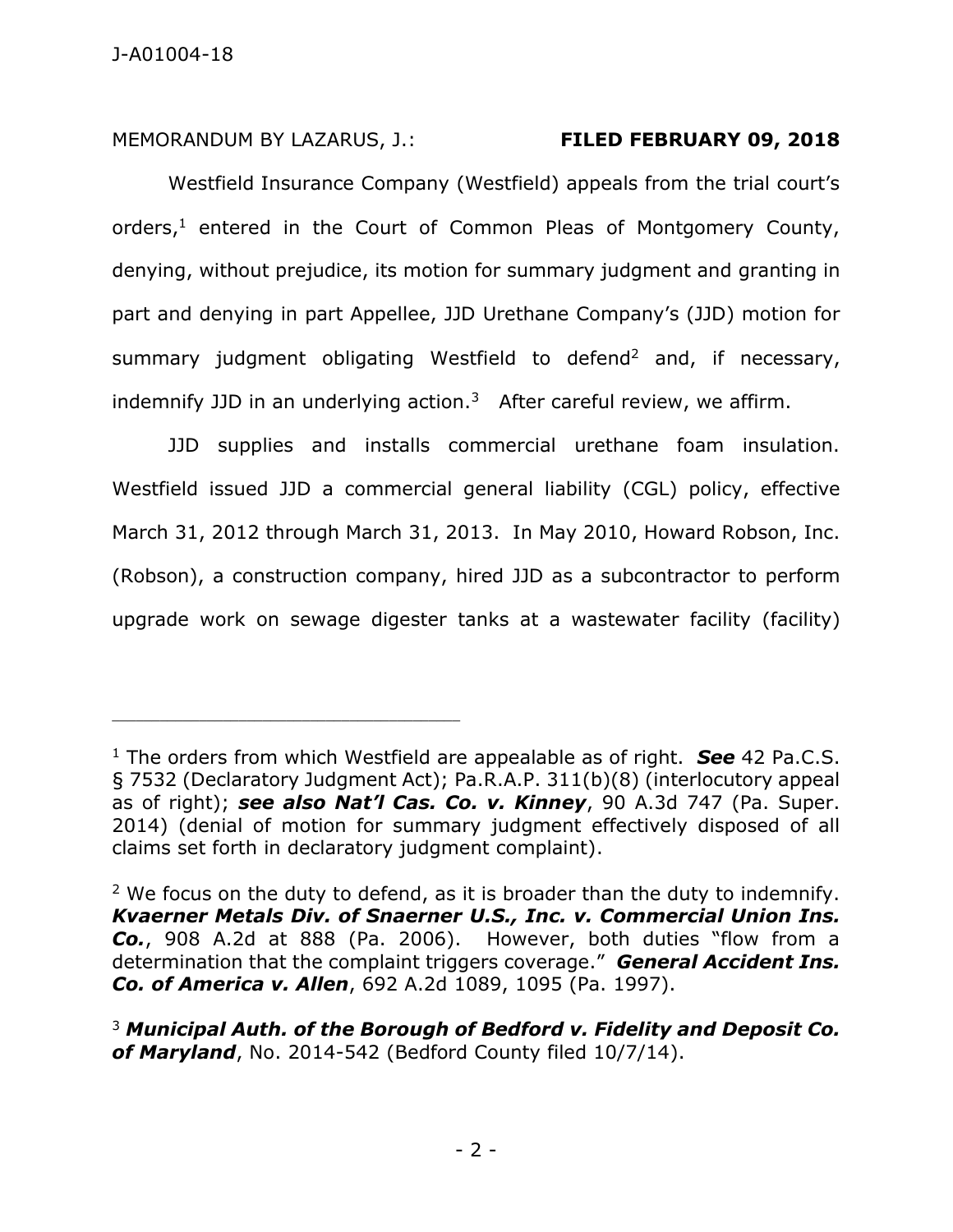MEMORANDUM BY LAZARUS, J.: **FILED FEBRUARY 09, 2018**

Westfield Insurance Company (Westfield) appeals from the trial court's orders,<sup>1</sup> entered in the Court of Common Pleas of Montgomery County, denying, without prejudice, its motion for summary judgment and granting in part and denying in part Appellee, JJD Urethane Company's (JJD) motion for summary judgment obligating Westfield to defend<sup>2</sup> and, if necessary, indemnify JJD in an underlying action.<sup>3</sup> After careful review, we affirm.

JJD supplies and installs commercial urethane foam insulation. Westfield issued JJD a commercial general liability (CGL) policy, effective March 31, 2012 through March 31, 2013. In May 2010, Howard Robson, Inc. (Robson), a construction company, hired JJD as a subcontractor to perform upgrade work on sewage digester tanks at a wastewater facility (facility)

<sup>1</sup> The orders from which Westfield are appealable as of right. *See* 42 Pa.C.S. § 7532 (Declaratory Judgment Act); Pa.R.A.P. 311(b)(8) (interlocutory appeal as of right); *see also Nat'l Cas. Co. v. Kinney*, 90 A.3d 747 (Pa. Super. 2014) (denial of motion for summary judgment effectively disposed of all claims set forth in declaratory judgment complaint).

<sup>&</sup>lt;sup>2</sup> We focus on the duty to defend, as it is broader than the duty to indemnify. *Kvaerner Metals Div. of Snaerner U.S., Inc. v. Commercial Union Ins. Co.*, 908 A.2d at 888 (Pa. 2006). However, both duties "flow from a determination that the complaint triggers coverage." *General Accident Ins. Co. of America v. Allen*, 692 A.2d 1089, 1095 (Pa. 1997).

<sup>3</sup> *Municipal Auth. of the Borough of Bedford v. Fidelity and Deposit Co. of Maryland*, No. 2014-542 (Bedford County filed 10/7/14).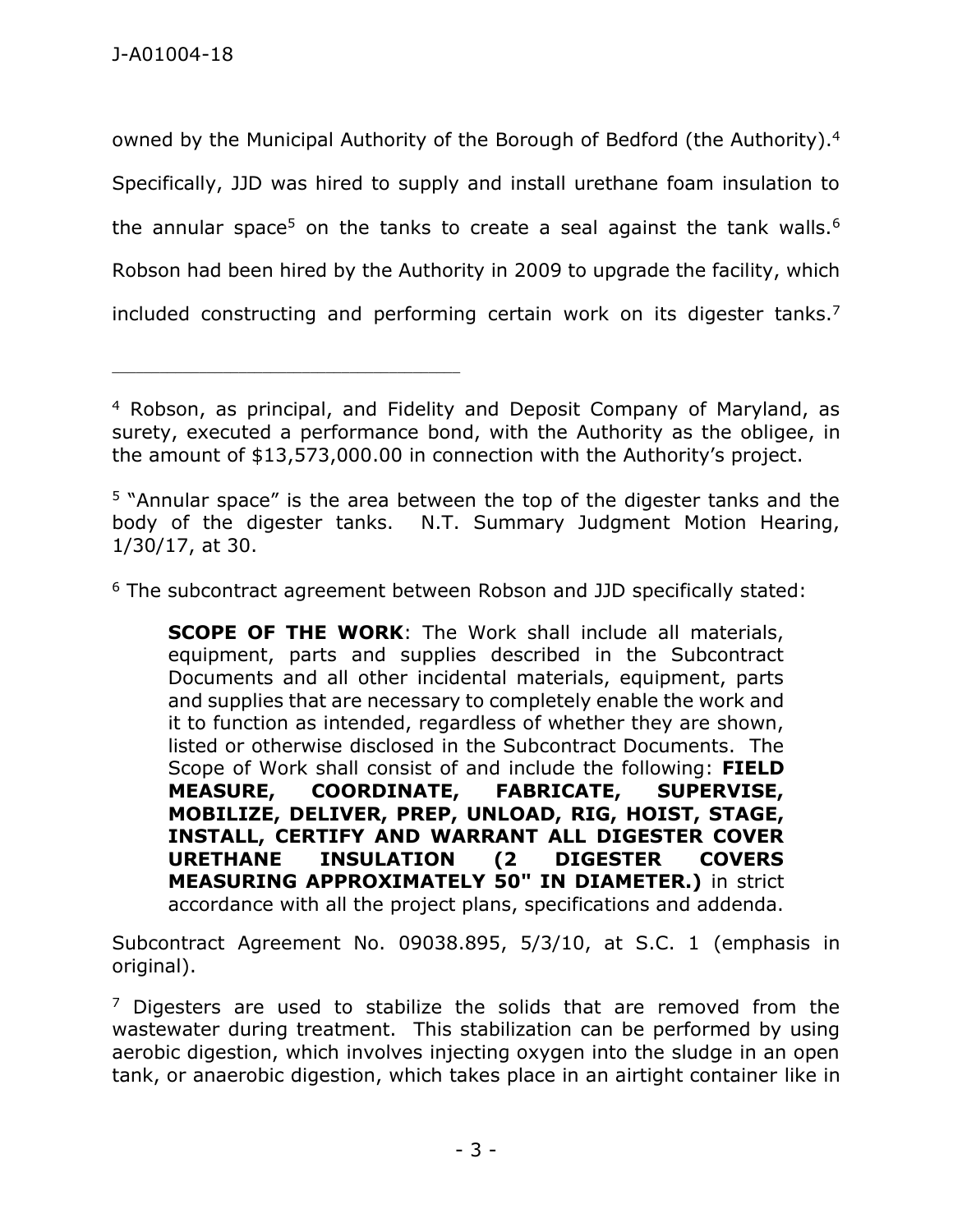\_\_\_\_\_\_\_\_\_\_\_\_\_\_\_\_\_\_\_\_\_\_\_\_\_\_\_\_\_\_\_\_\_\_\_\_\_\_\_\_\_\_\_\_

owned by the Municipal Authority of the Borough of Bedford (the Authority).<sup>4</sup> Specifically, JJD was hired to supply and install urethane foam insulation to the annular space<sup>5</sup> on the tanks to create a seal against the tank walls.<sup>6</sup> Robson had been hired by the Authority in 2009 to upgrade the facility, which included constructing and performing certain work on its digester tanks.<sup>7</sup>

<sup>6</sup> The subcontract agreement between Robson and JJD specifically stated:

**SCOPE OF THE WORK**: The Work shall include all materials, equipment, parts and supplies described in the Subcontract Documents and all other incidental materials, equipment, parts and supplies that are necessary to completely enable the work and it to function as intended, regardless of whether they are shown, listed or otherwise disclosed in the Subcontract Documents. The Scope of Work shall consist of and include the following: **FIELD MEASURE, COORDINATE, FABRICATE, SUPERVISE, MOBILIZE, DELIVER, PREP, UNLOAD, RIG, HOIST, STAGE, INSTALL, CERTIFY AND WARRANT ALL DIGESTER COVER URETHANE INSULATION (2 DIGESTER COVERS MEASURING APPROXIMATELY 50" IN DIAMETER.)** in strict accordance with all the project plans, specifications and addenda.

Subcontract Agreement No. 09038.895, 5/3/10, at S.C. 1 (emphasis in original).

 $<sup>7</sup>$  Digesters are used to stabilize the solids that are removed from the</sup> wastewater during treatment. This stabilization can be performed by using aerobic digestion, which involves injecting oxygen into the sludge in an open tank, or anaerobic digestion, which takes place in an airtight container like in

<sup>4</sup> Robson, as principal, and Fidelity and Deposit Company of Maryland, as surety, executed a performance bond, with the Authority as the obligee, in the amount of \$13,573,000.00 in connection with the Authority's project.

<sup>5</sup> "Annular space" is the area between the top of the digester tanks and the body of the digester tanks. N.T. Summary Judgment Motion Hearing, 1/30/17, at 30.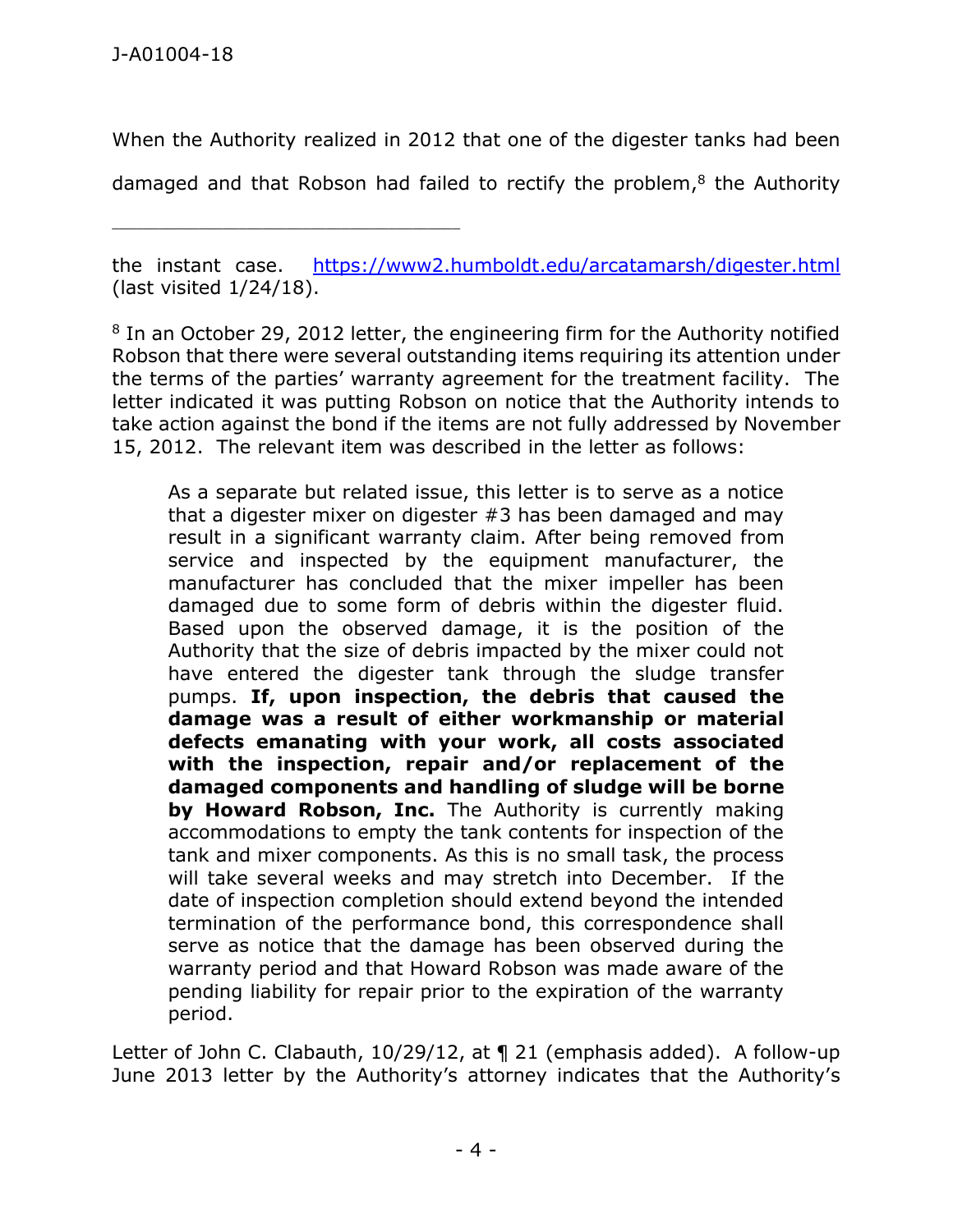\_\_\_\_\_\_\_\_\_\_\_\_\_\_\_\_\_\_\_\_\_\_\_\_\_\_\_\_\_\_\_\_\_\_\_\_\_\_\_\_\_\_\_\_

When the Authority realized in 2012 that one of the digester tanks had been

damaged and that Robson had failed to rectify the problem,<sup>8</sup> the Authority

the instant case. <https://www2.humboldt.edu/arcatamarsh/digester.html> (last visited 1/24/18).

<sup>8</sup> In an October 29, 2012 letter, the engineering firm for the Authority notified Robson that there were several outstanding items requiring its attention under the terms of the parties' warranty agreement for the treatment facility. The letter indicated it was putting Robson on notice that the Authority intends to take action against the bond if the items are not fully addressed by November 15, 2012. The relevant item was described in the letter as follows:

As a separate but related issue, this letter is to serve as a notice that a digester mixer on digester #3 has been damaged and may result in a significant warranty claim. After being removed from service and inspected by the equipment manufacturer, the manufacturer has concluded that the mixer impeller has been damaged due to some form of debris within the digester fluid. Based upon the observed damage, it is the position of the Authority that the size of debris impacted by the mixer could not have entered the digester tank through the sludge transfer pumps. **If, upon inspection, the debris that caused the damage was a result of either workmanship or material defects emanating with your work, all costs associated with the inspection, repair and/or replacement of the damaged components and handling of sludge will be borne by Howard Robson, Inc.** The Authority is currently making accommodations to empty the tank contents for inspection of the tank and mixer components. As this is no small task, the process will take several weeks and may stretch into December. If the date of inspection completion should extend beyond the intended termination of the performance bond, this correspondence shall serve as notice that the damage has been observed during the warranty period and that Howard Robson was made aware of the pending liability for repair prior to the expiration of the warranty period.

Letter of John C. Clabauth, 10/29/12, at ¶ 21 (emphasis added). A follow-up June 2013 letter by the Authority's attorney indicates that the Authority's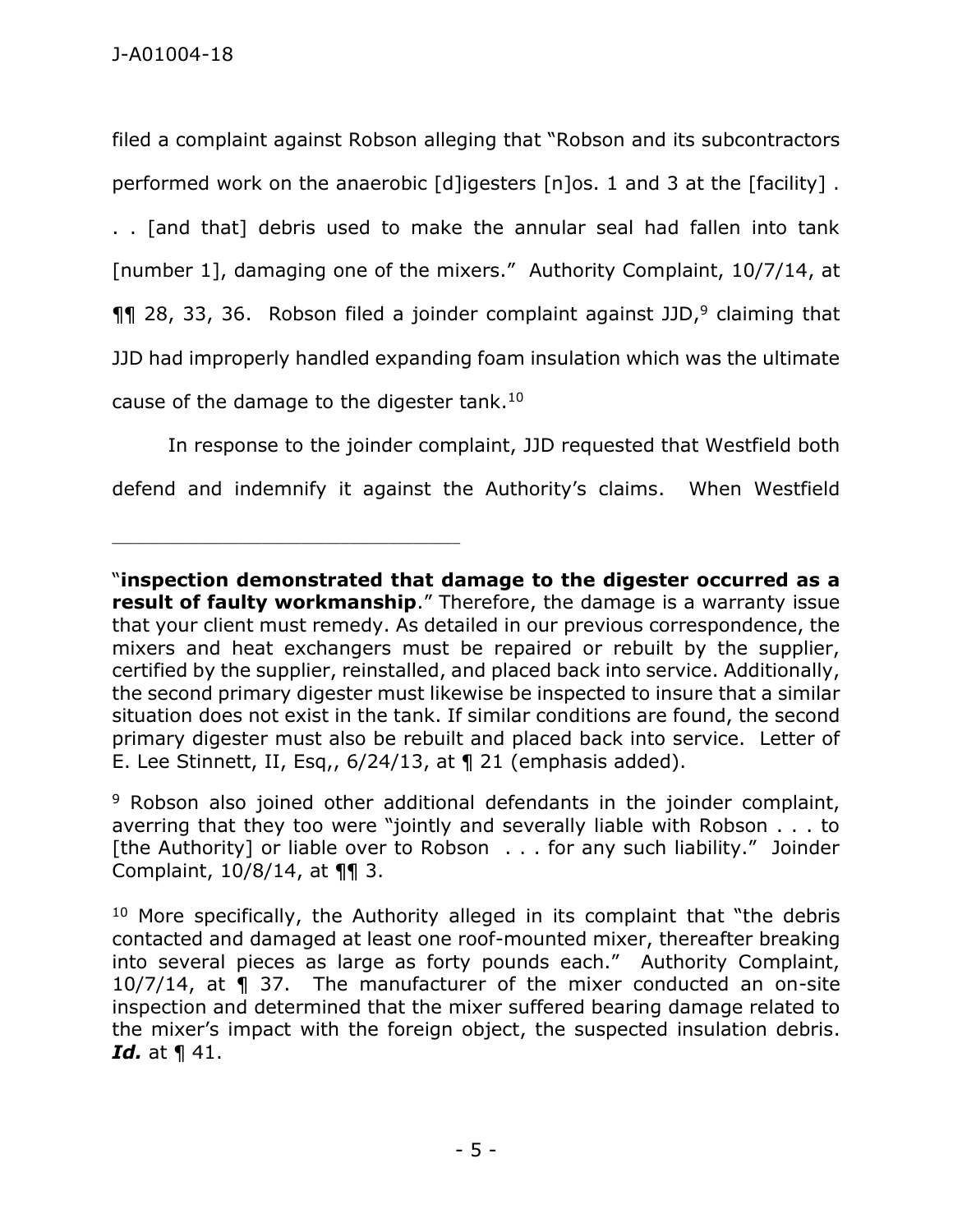filed a complaint against Robson alleging that "Robson and its subcontractors performed work on the anaerobic [d]igesters [n]os. 1 and 3 at the [facility] .

. . [and that] debris used to make the annular seal had fallen into tank [number 1], damaging one of the mixers." Authority Complaint, 10/7/14, at  $\P$ [ 28, 33, 36. Robson filed a joinder complaint against JJD,<sup>9</sup> claiming that JJD had improperly handled expanding foam insulation which was the ultimate cause of the damage to the digester tank.<sup>10</sup>

In response to the joinder complaint, JJD requested that Westfield both defend and indemnify it against the Authority's claims. When Westfield

<sup>&</sup>quot;**inspection demonstrated that damage to the digester occurred as a result of faulty workmanship**." Therefore, the damage is a warranty issue that your client must remedy. As detailed in our previous correspondence, the mixers and heat exchangers must be repaired or rebuilt by the supplier, certified by the supplier, reinstalled, and placed back into service. Additionally, the second primary digester must likewise be inspected to insure that a similar situation does not exist in the tank. If similar conditions are found, the second primary digester must also be rebuilt and placed back into service. Letter of E. Lee Stinnett, II, Esq,, 6/24/13, at ¶ 21 (emphasis added).

<sup>&</sup>lt;sup>9</sup> Robson also joined other additional defendants in the joinder complaint, averring that they too were "jointly and severally liable with Robson . . . to [the Authority] or liable over to Robson . . . for any such liability." Joinder Complaint, 10/8/14, at ¶¶ 3.

 $10$  More specifically, the Authority alleged in its complaint that "the debris contacted and damaged at least one roof-mounted mixer, thereafter breaking into several pieces as large as forty pounds each." Authority Complaint, 10/7/14, at ¶ 37. The manufacturer of the mixer conducted an on-site inspection and determined that the mixer suffered bearing damage related to the mixer's impact with the foreign object, the suspected insulation debris. *Id.* at ¶ 41.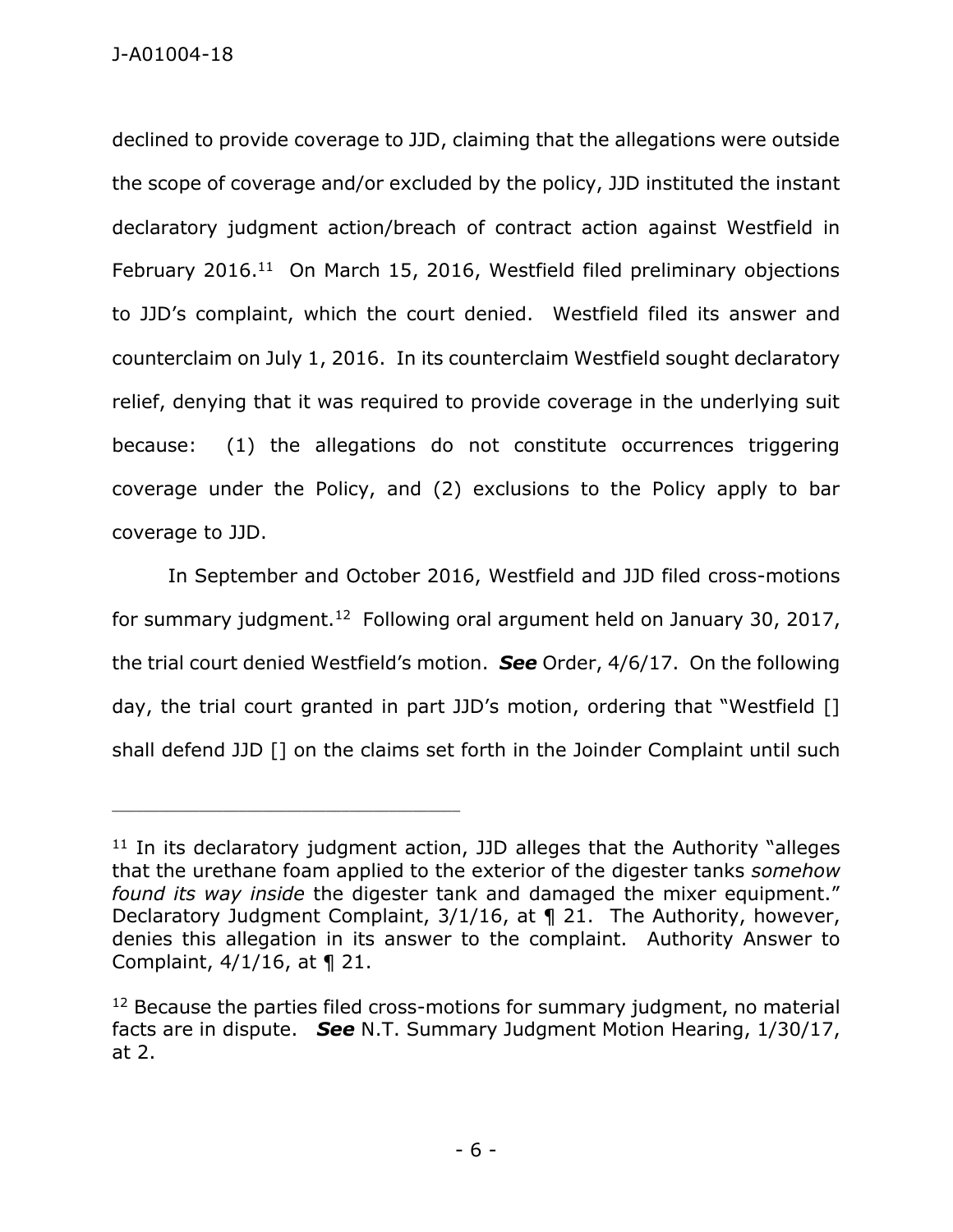declined to provide coverage to JJD, claiming that the allegations were outside the scope of coverage and/or excluded by the policy, JJD instituted the instant declaratory judgment action/breach of contract action against Westfield in February 2016.<sup>11</sup> On March 15, 2016, Westfield filed preliminary objections to JJD's complaint, which the court denied. Westfield filed its answer and counterclaim on July 1, 2016. In its counterclaim Westfield sought declaratory relief, denying that it was required to provide coverage in the underlying suit because: (1) the allegations do not constitute occurrences triggering coverage under the Policy, and (2) exclusions to the Policy apply to bar coverage to JJD.

In September and October 2016, Westfield and JJD filed cross-motions for summary judgment.<sup>12</sup> Following oral argument held on January 30, 2017, the trial court denied Westfield's motion. *See* Order, 4/6/17. On the following day, the trial court granted in part JJD's motion, ordering that "Westfield [] shall defend JJD [] on the claims set forth in the Joinder Complaint until such

 $11$  In its declaratory judgment action, JJD alleges that the Authority "alleges that the urethane foam applied to the exterior of the digester tanks *somehow found its way inside* the digester tank and damaged the mixer equipment." Declaratory Judgment Complaint, 3/1/16, at ¶ 21. The Authority, however, denies this allegation in its answer to the complaint. Authority Answer to Complaint, 4/1/16, at ¶ 21.

<sup>&</sup>lt;sup>12</sup> Because the parties filed cross-motions for summary judgment, no material facts are in dispute. *See* N.T. Summary Judgment Motion Hearing, 1/30/17, at 2.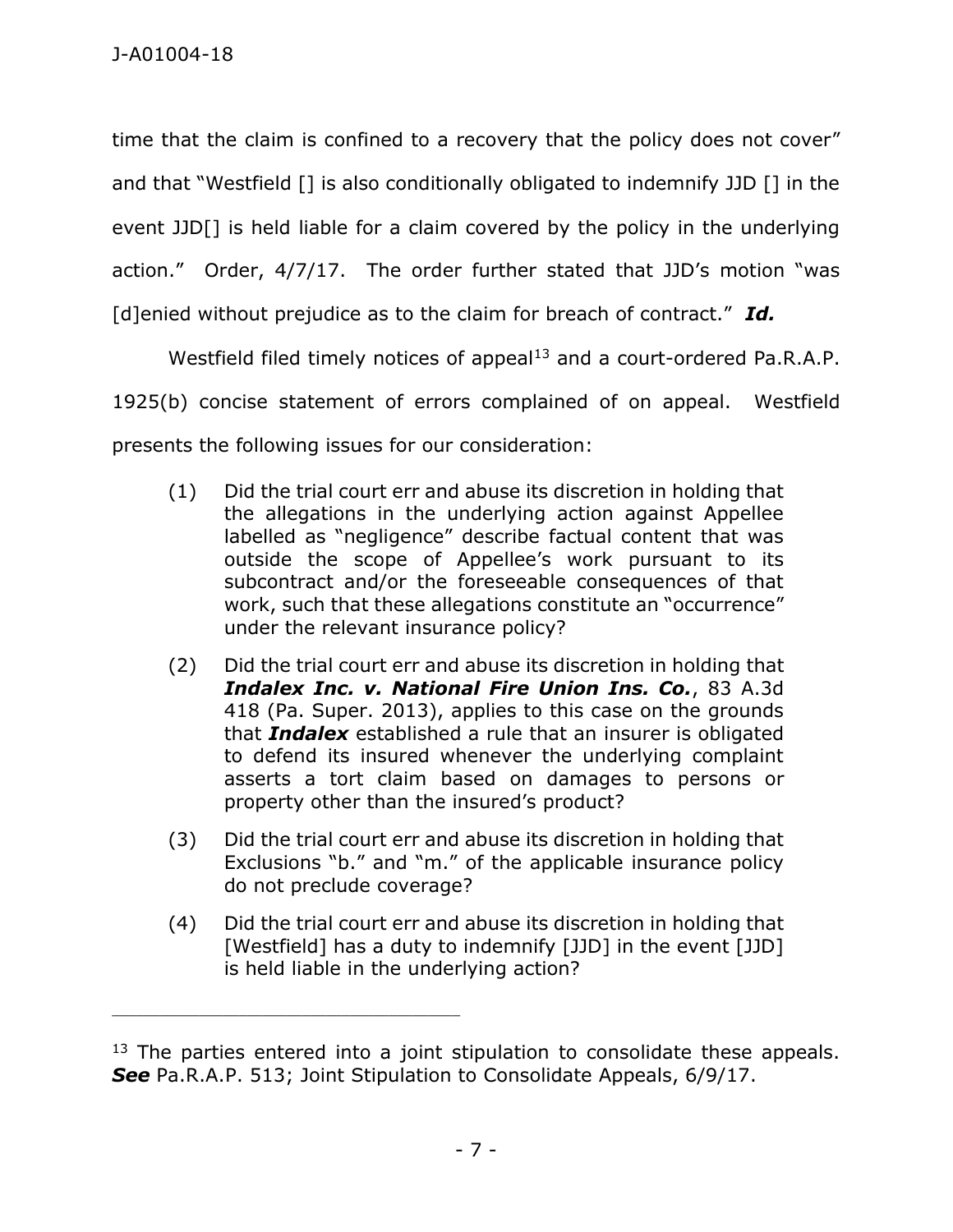time that the claim is confined to a recovery that the policy does not cover" and that "Westfield [] is also conditionally obligated to indemnify JJD [] in the event JJD[] is held liable for a claim covered by the policy in the underlying action." Order, 4/7/17. The order further stated that JJD's motion "was [d]enied without prejudice as to the claim for breach of contract." *Id.*

Westfield filed timely notices of appeal<sup>13</sup> and a court-ordered Pa.R.A.P. 1925(b) concise statement of errors complained of on appeal. Westfield presents the following issues for our consideration:

- (1) Did the trial court err and abuse its discretion in holding that the allegations in the underlying action against Appellee labelled as "negligence" describe factual content that was outside the scope of Appellee's work pursuant to its subcontract and/or the foreseeable consequences of that work, such that these allegations constitute an "occurrence" under the relevant insurance policy?
- (2) Did the trial court err and abuse its discretion in holding that *Indalex Inc. v. National Fire Union Ins. Co.*, 83 A.3d 418 (Pa. Super. 2013), applies to this case on the grounds that *Indalex* established a rule that an insurer is obligated to defend its insured whenever the underlying complaint asserts a tort claim based on damages to persons or property other than the insured's product?
- (3) Did the trial court err and abuse its discretion in holding that Exclusions "b." and "m." of the applicable insurance policy do not preclude coverage?
- (4) Did the trial court err and abuse its discretion in holding that [Westfield] has a duty to indemnify [JJD] in the event [JJD] is held liable in the underlying action?

 $13$  The parties entered into a joint stipulation to consolidate these appeals. *See* Pa.R.A.P. 513; Joint Stipulation to Consolidate Appeals, 6/9/17.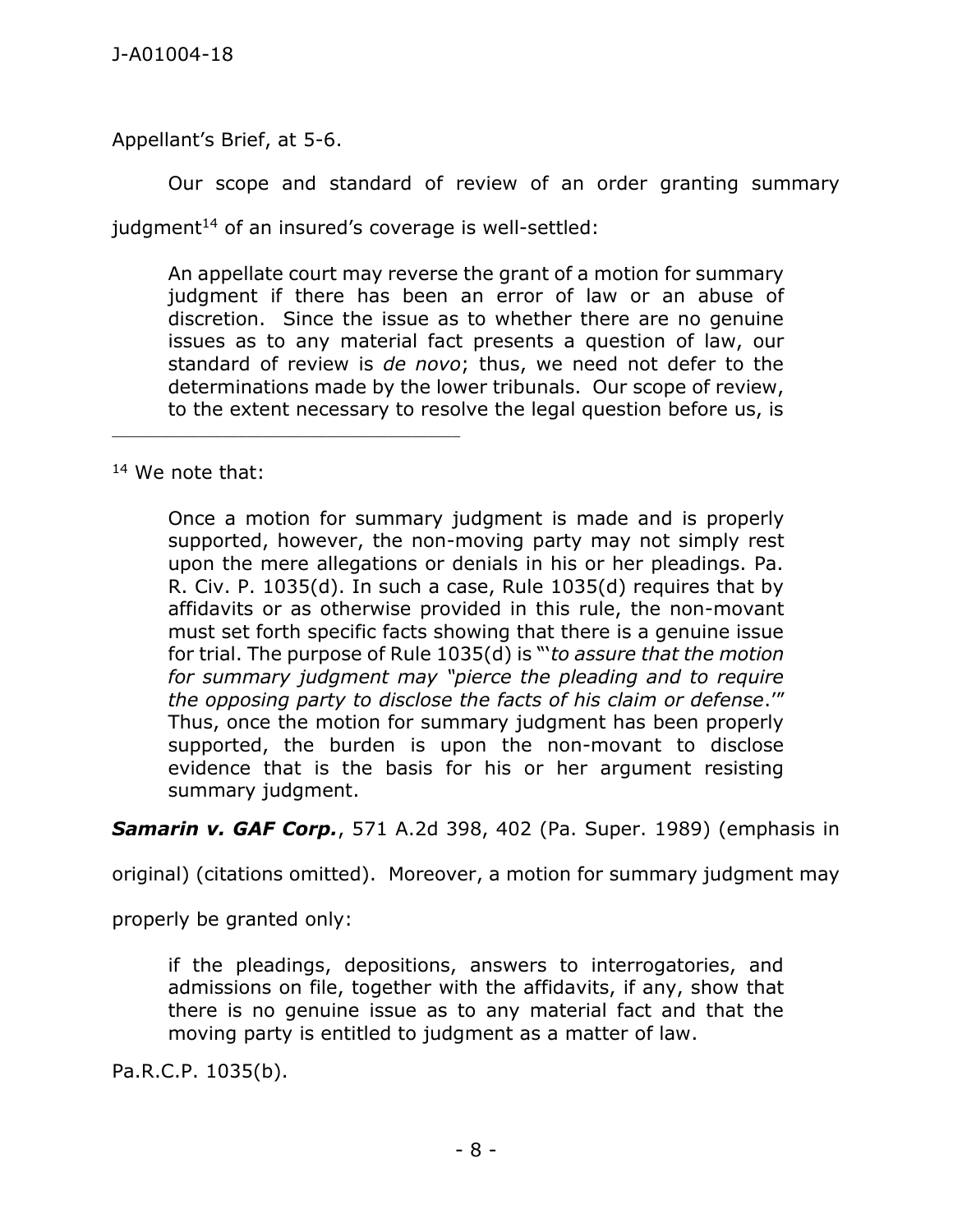Appellant's Brief, at 5-6.

Our scope and standard of review of an order granting summary judgment<sup>14</sup> of an insured's coverage is well-settled:

An appellate court may reverse the grant of a motion for summary judgment if there has been an error of law or an abuse of discretion. Since the issue as to whether there are no genuine issues as to any material fact presents a question of law, our standard of review is *de novo*; thus, we need not defer to the determinations made by the lower tribunals. Our scope of review, to the extent necessary to resolve the legal question before us, is

<sup>14</sup> We note that:

\_\_\_\_\_\_\_\_\_\_\_\_\_\_\_\_\_\_\_\_\_\_\_\_\_\_\_\_\_\_\_\_\_\_\_\_\_\_\_\_\_\_\_\_

Once a motion for summary judgment is made and is properly supported, however, the non-moving party may not simply rest upon the mere allegations or denials in his or her pleadings. Pa. R. Civ. P. 1035(d). In such a case, Rule 1035(d) requires that by affidavits or as otherwise provided in this rule, the non-movant must set forth specific facts showing that there is a genuine issue for trial. The purpose of Rule 1035(d) is "'*to assure that the motion for summary judgment may "pierce the pleading and to require the opposing party to disclose the facts of his claim or defense*.'" Thus, once the motion for summary judgment has been properly supported, the burden is upon the non-movant to disclose evidence that is the basis for his or her argument resisting summary judgment.

*Samarin v. GAF Corp.*, 571 A.2d 398, 402 (Pa. Super. 1989) (emphasis in

original) (citations omitted). Moreover, a motion for summary judgment may

properly be granted only:

if the pleadings, depositions, answers to interrogatories, and admissions on file, together with the affidavits, if any, show that there is no genuine issue as to any material fact and that the moving party is entitled to judgment as a matter of law.

Pa.R.C.P. 1035(b).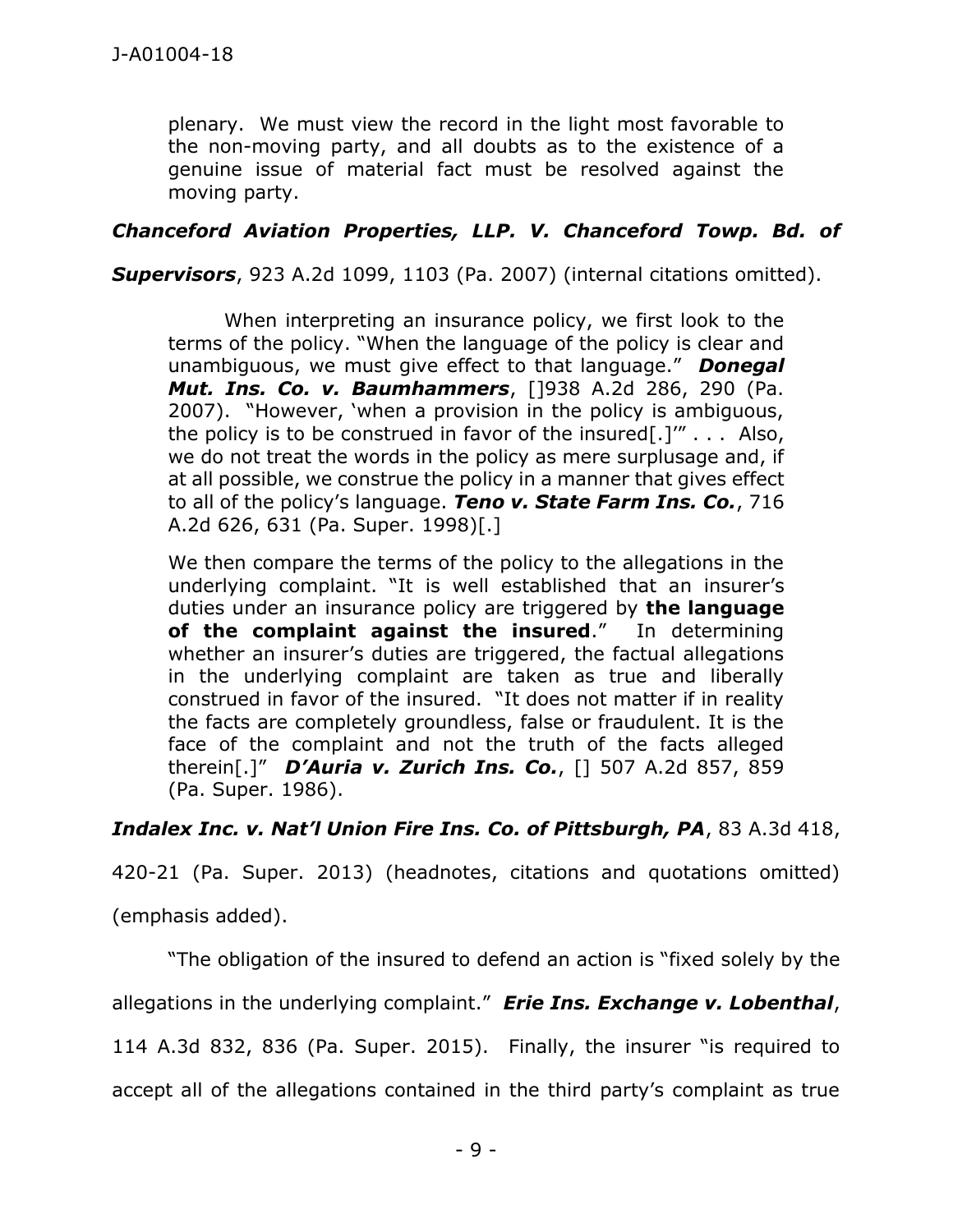plenary. We must view the record in the light most favorable to the non-moving party, and all doubts as to the existence of a genuine issue of material fact must be resolved against the moving party.

*Chanceford Aviation Properties, LLP. V. Chanceford Towp. Bd. of* 

*Supervisors*, 923 A.2d 1099, 1103 (Pa. 2007) (internal citations omitted).

When interpreting an insurance policy, we first look to the terms of the policy. "When the language of the policy is clear and unambiguous, we must give effect to that language." *Donegal Mut. Ins. Co. v. Baumhammers*, []938 A.2d 286, 290 (Pa. 2007). "However, 'when a provision in the policy is ambiguous, the policy is to be construed in favor of the insured[.]" $\ldots$  Also, we do not treat the words in the policy as mere surplusage and, if at all possible, we construe the policy in a manner that gives effect to all of the policy's language. *Teno v. State Farm Ins. Co.*, 716 A.2d 626, 631 (Pa. Super. 1998)[.]

We then compare the terms of the policy to the allegations in the underlying complaint. "It is well established that an insurer's duties under an insurance policy are triggered by **the language of the complaint against the insured**." In determining whether an insurer's duties are triggered, the factual allegations in the underlying complaint are taken as true and liberally construed in favor of the insured. "It does not matter if in reality the facts are completely groundless, false or fraudulent. It is the face of the complaint and not the truth of the facts alleged therein[.]" *D'Auria v. Zurich Ins. Co.*, [] 507 A.2d 857, 859 (Pa. Super. 1986).

*Indalex Inc. v. Nat'l Union Fire Ins. Co. of Pittsburgh, PA*, 83 A.3d 418,

420-21 (Pa. Super. 2013) (headnotes, citations and quotations omitted)

(emphasis added).

"The obligation of the insured to defend an action is "fixed solely by the

allegations in the underlying complaint." *Erie Ins. Exchange v. Lobenthal*,

114 A.3d 832, 836 (Pa. Super. 2015). Finally, the insurer "is required to

accept all of the allegations contained in the third party's complaint as true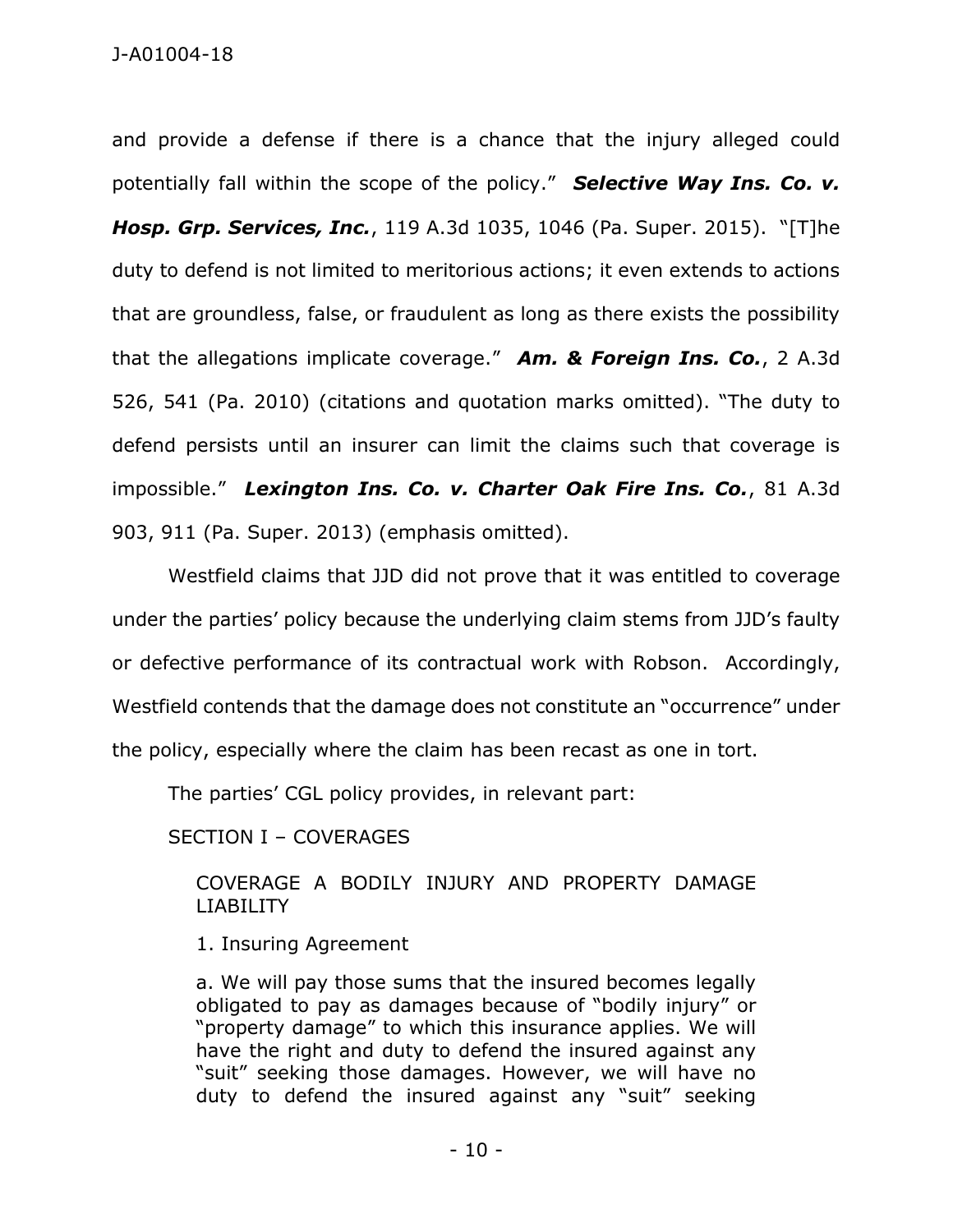and provide a defense if there is a chance that the injury alleged could potentially fall within the scope of the policy." *Selective Way Ins. Co. v. Hosp. Grp. Services, Inc.*, 119 A.3d 1035, 1046 (Pa. Super. 2015). "[T]he duty to defend is not limited to meritorious actions; it even extends to actions that are groundless, false, or fraudulent as long as there exists the possibility that the allegations implicate coverage." *Am. & Foreign Ins. Co.*, 2 A.3d 526, 541 (Pa. 2010) (citations and quotation marks omitted). "The duty to defend persists until an insurer can limit the claims such that coverage is impossible." *Lexington Ins. Co. v. Charter Oak Fire Ins. Co.*, 81 A.3d 903, 911 (Pa. Super. 2013) (emphasis omitted).

Westfield claims that JJD did not prove that it was entitled to coverage under the parties' policy because the underlying claim stems from JJD's faulty or defective performance of its contractual work with Robson. Accordingly, Westfield contends that the damage does not constitute an "occurrence" under the policy, especially where the claim has been recast as one in tort.

The parties' CGL policy provides, in relevant part:

SECTION I – COVERAGES

COVERAGE A BODILY INJURY AND PROPERTY DAMAGE LIABILITY

1. Insuring Agreement

a. We will pay those sums that the insured becomes legally obligated to pay as damages because of "bodily injury" or "property damage" to which this insurance applies. We will have the right and duty to defend the insured against any "suit" seeking those damages. However, we will have no duty to defend the insured against any "suit" seeking

- 10 -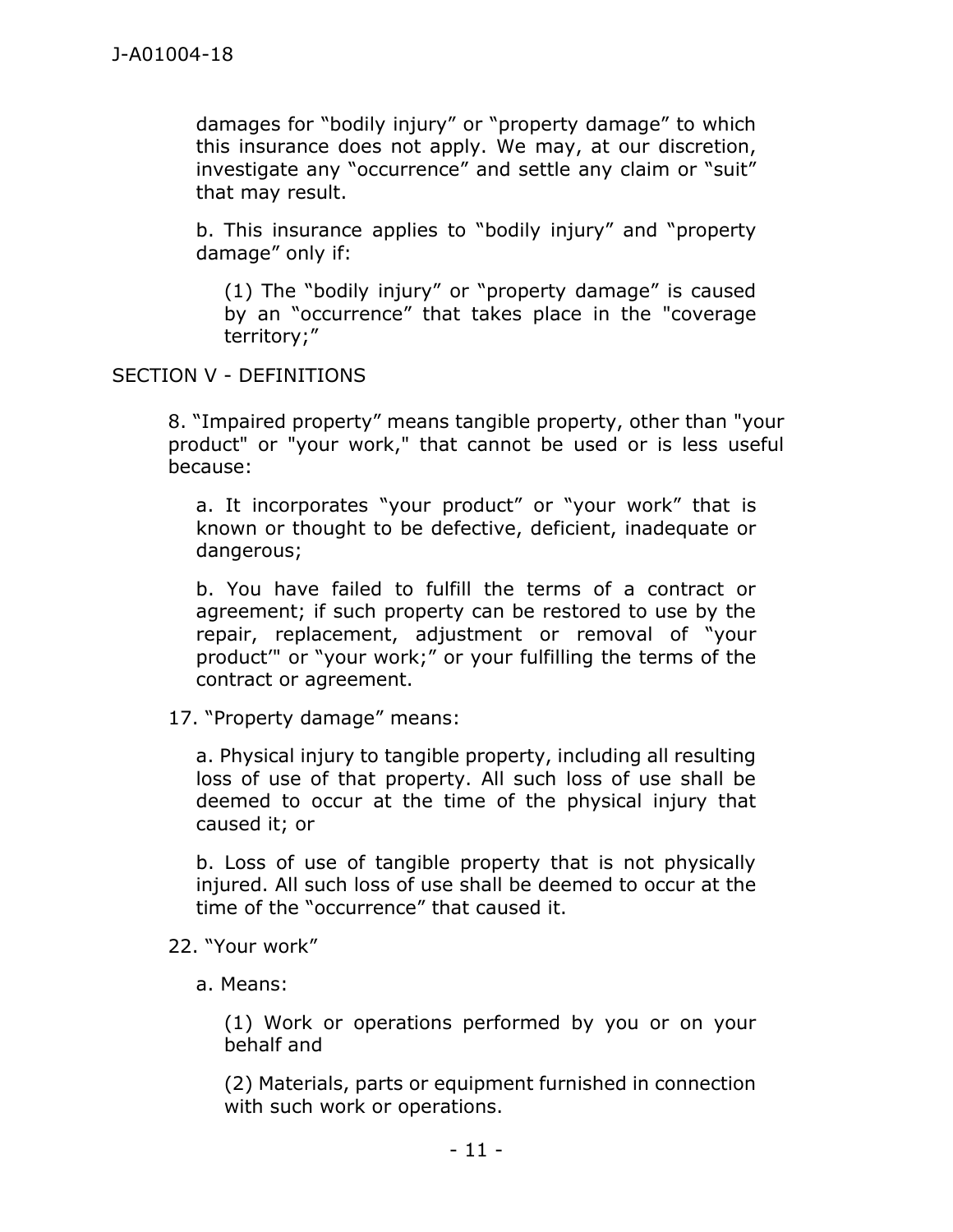damages for "bodily injury" or "property damage" to which this insurance does not apply. We may, at our discretion, investigate any "occurrence" and settle any claim or "suit" that may result.

b. This insurance applies to "bodily injury" and "property damage" only if:

(1) The "bodily injury" or "property damage" is caused by an "occurrence" that takes place in the "coverage territory;"

#### SECTION V - DEFINITIONS

8. "Impaired property" means tangible property, other than "your product" or "your work," that cannot be used or is less useful because:

a. It incorporates "your product" or "your work" that is known or thought to be defective, deficient, inadequate or dangerous;

b. You have failed to fulfill the terms of a contract or agreement; if such property can be restored to use by the repair, replacement, adjustment or removal of "your product'" or "your work;" or your fulfilling the terms of the contract or agreement.

#### 17. "Property damage" means:

a. Physical injury to tangible property, including all resulting loss of use of that property. All such loss of use shall be deemed to occur at the time of the physical injury that caused it; or

b. Loss of use of tangible property that is not physically injured. All such loss of use shall be deemed to occur at the time of the "occurrence" that caused it.

- 22. "Your work"
	- a. Means:

(1) Work or operations performed by you or on your behalf and

(2) Materials, parts or equipment furnished in connection with such work or operations.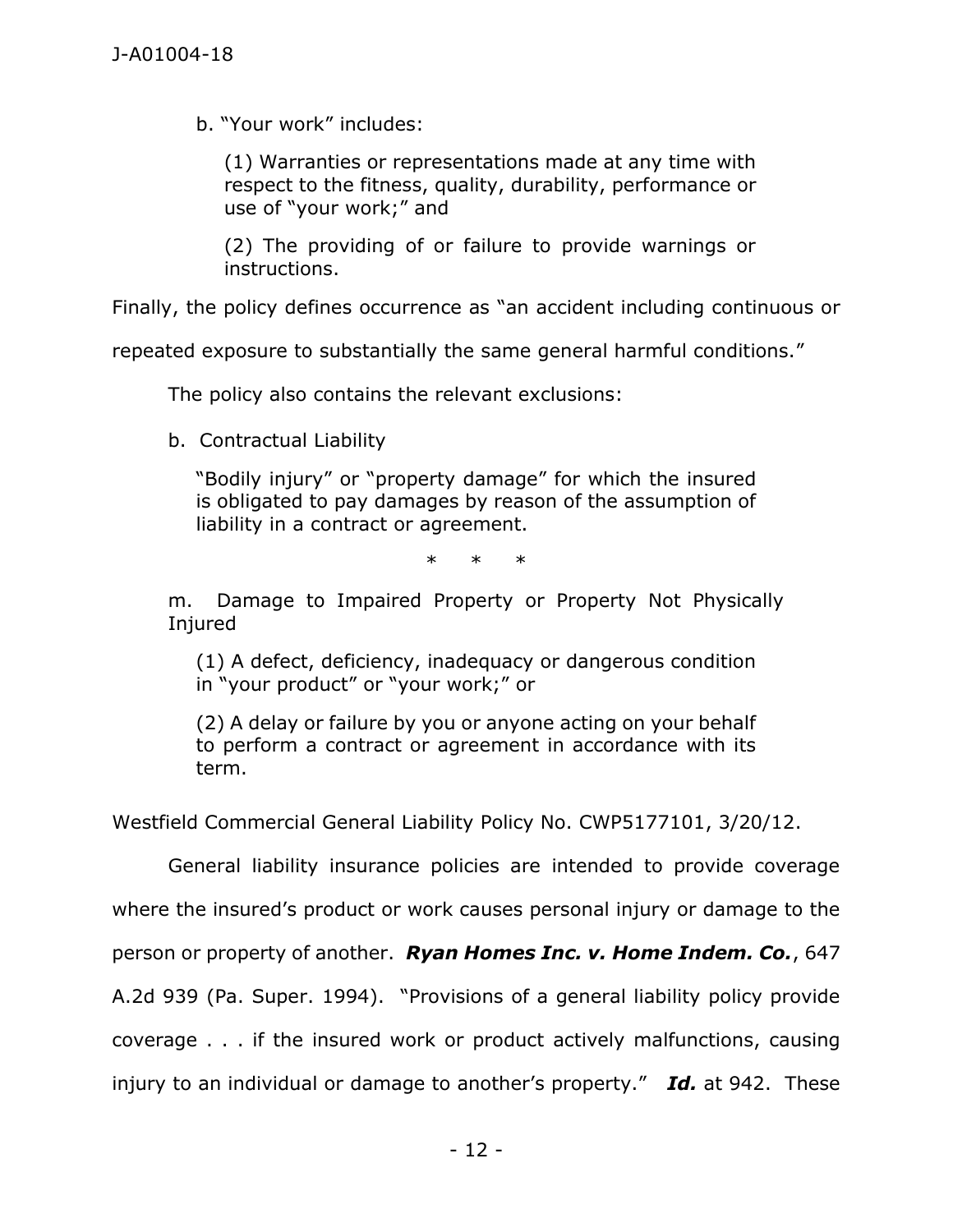b. "Your work" includes:

(1) Warranties or representations made at any time with respect to the fitness, quality, durability, performance or use of "your work;" and

(2) The providing of or failure to provide warnings or instructions.

Finally, the policy defines occurrence as "an accident including continuous or

repeated exposure to substantially the same general harmful conditions."

The policy also contains the relevant exclusions:

b. Contractual Liability

"Bodily injury" or "property damage" for which the insured is obligated to pay damages by reason of the assumption of liability in a contract or agreement.

\* \* \*

m. Damage to Impaired Property or Property Not Physically Injured

(1) A defect, deficiency, inadequacy or dangerous condition in "your product" or "your work;" or

(2) A delay or failure by you or anyone acting on your behalf to perform a contract or agreement in accordance with its term.

Westfield Commercial General Liability Policy No. CWP5177101, 3/20/12.

General liability insurance policies are intended to provide coverage where the insured's product or work causes personal injury or damage to the person or property of another. *Ryan Homes Inc. v. Home Indem. Co.*, 647 A.2d 939 (Pa. Super. 1994). "Provisions of a general liability policy provide coverage . . . if the insured work or product actively malfunctions, causing injury to an individual or damage to another's property." *Id.* at 942. These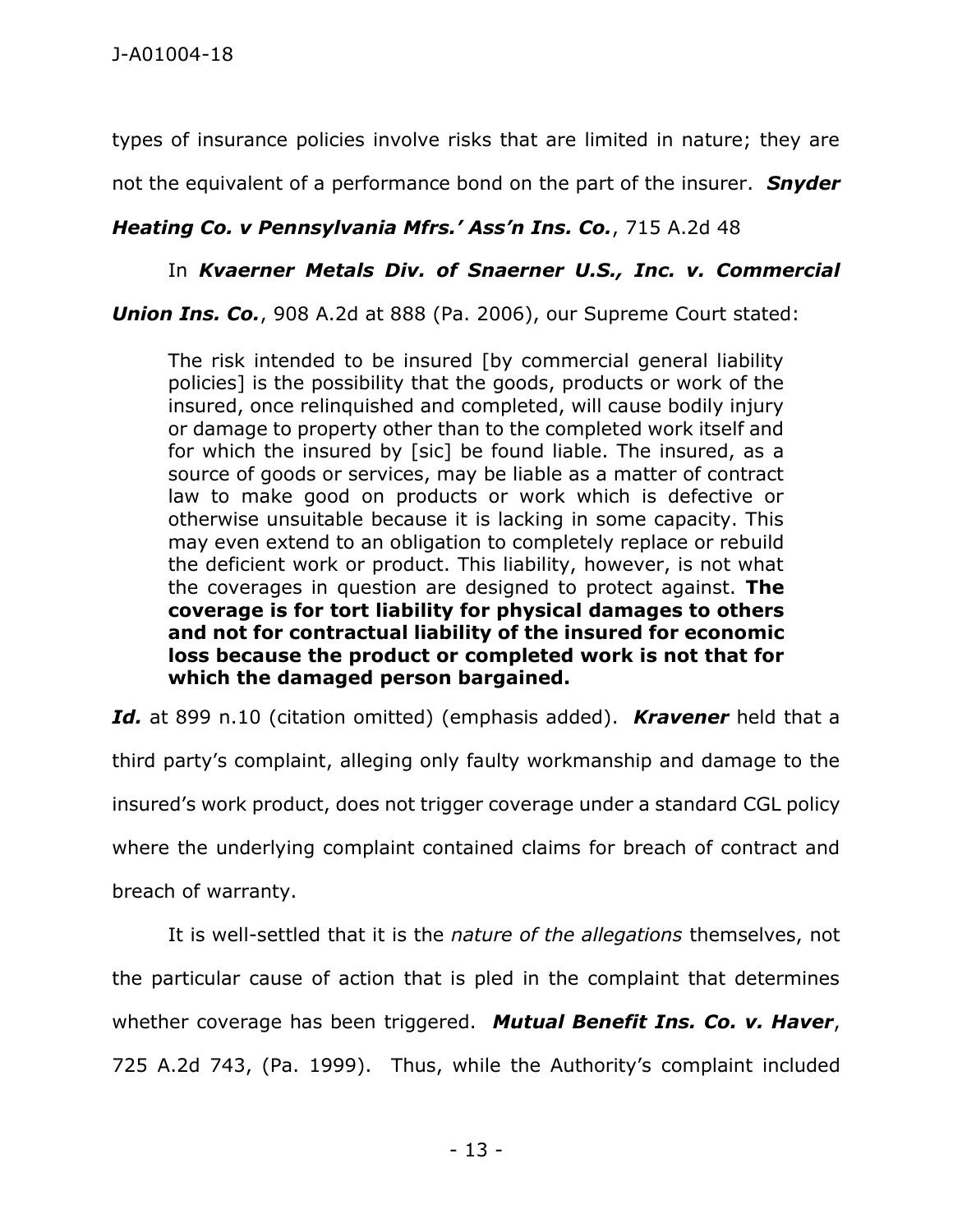types of insurance policies involve risks that are limited in nature; they are

not the equivalent of a performance bond on the part of the insurer. *Snyder* 

## *Heating Co. v Pennsylvania Mfrs.' Ass'n Ins. Co.*, 715 A.2d 48

### In *Kvaerner Metals Div. of Snaerner U.S., Inc. v. Commercial*

*Union Ins. Co.*, 908 A.2d at 888 (Pa. 2006), our Supreme Court stated:

The risk intended to be insured [by commercial general liability policies] is the possibility that the goods, products or work of the insured, once relinquished and completed, will cause bodily injury or damage to property other than to the completed work itself and for which the insured by [sic] be found liable. The insured, as a source of goods or services, may be liable as a matter of contract law to make good on products or work which is defective or otherwise unsuitable because it is lacking in some capacity. This may even extend to an obligation to completely replace or rebuild the deficient work or product. This liability, however, is not what the coverages in question are designed to protect against. **The coverage is for tort liability for physical damages to others and not for contractual liability of the insured for economic loss because the product or completed work is not that for which the damaged person bargained.**

*Id.* at 899 n.10 (citation omitted) (emphasis added). *Kravener* held that a third party's complaint, alleging only faulty workmanship and damage to the insured's work product, does not trigger coverage under a standard CGL policy where the underlying complaint contained claims for breach of contract and breach of warranty.

It is well-settled that it is the *nature of the allegations* themselves, not the particular cause of action that is pled in the complaint that determines whether coverage has been triggered. *Mutual Benefit Ins. Co. v. Haver*, 725 A.2d 743, (Pa. 1999). Thus, while the Authority's complaint included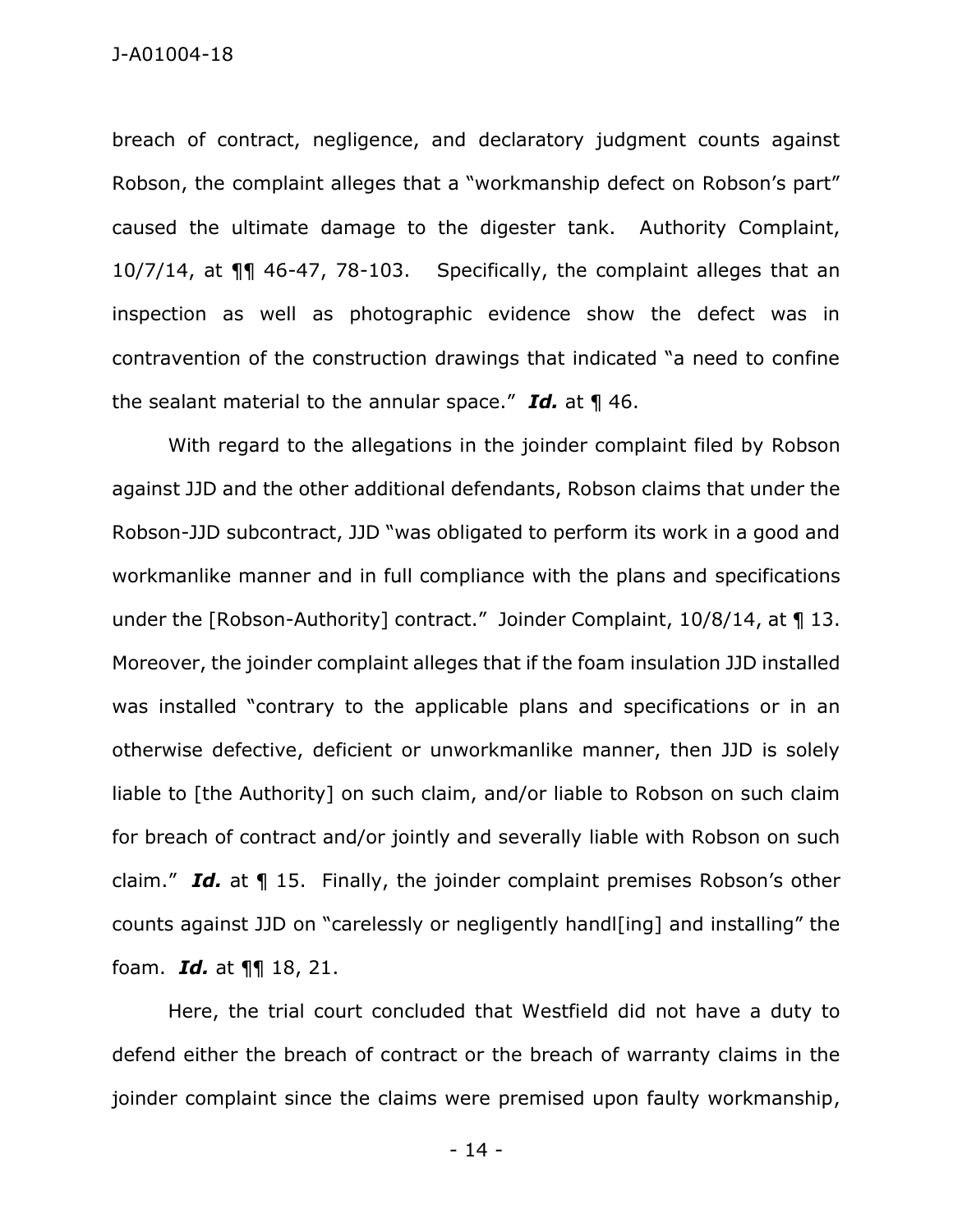J-A01004-18

breach of contract, negligence, and declaratory judgment counts against Robson, the complaint alleges that a "workmanship defect on Robson's part" caused the ultimate damage to the digester tank. Authority Complaint, 10/7/14, at ¶¶ 46-47, 78-103. Specifically, the complaint alleges that an inspection as well as photographic evidence show the defect was in contravention of the construction drawings that indicated "a need to confine the sealant material to the annular space." *Id.* at ¶ 46.

With regard to the allegations in the joinder complaint filed by Robson against JJD and the other additional defendants, Robson claims that under the Robson-JJD subcontract, JJD "was obligated to perform its work in a good and workmanlike manner and in full compliance with the plans and specifications under the [Robson-Authority] contract." Joinder Complaint, 10/8/14, at ¶ 13. Moreover, the joinder complaint alleges that if the foam insulation JJD installed was installed "contrary to the applicable plans and specifications or in an otherwise defective, deficient or unworkmanlike manner, then JJD is solely liable to [the Authority] on such claim, and/or liable to Robson on such claim for breach of contract and/or jointly and severally liable with Robson on such claim." *Id.* at ¶ 15. Finally, the joinder complaint premises Robson's other counts against JJD on "carelessly or negligently handl[ing] and installing" the foam. *Id.* at ¶¶ 18, 21.

Here, the trial court concluded that Westfield did not have a duty to defend either the breach of contract or the breach of warranty claims in the joinder complaint since the claims were premised upon faulty workmanship,

- 14 -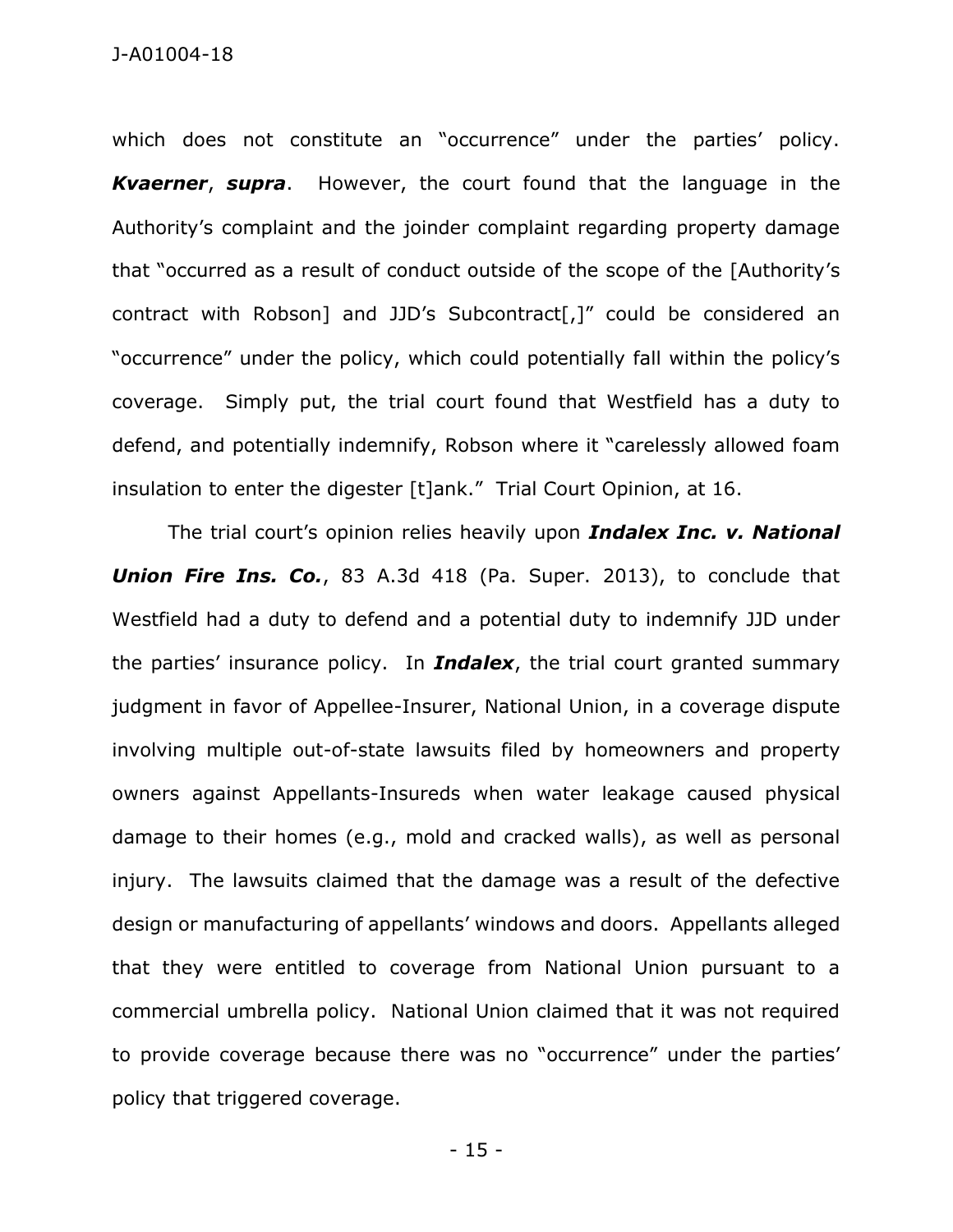which does not constitute an "occurrence" under the parties' policy. *Kvaerner*, *supra*. However, the court found that the language in the Authority's complaint and the joinder complaint regarding property damage that "occurred as a result of conduct outside of the scope of the [Authority's contract with Robson] and JJD's Subcontract[,]" could be considered an "occurrence" under the policy, which could potentially fall within the policy's coverage. Simply put, the trial court found that Westfield has a duty to defend, and potentially indemnify, Robson where it "carelessly allowed foam insulation to enter the digester [t]ank." Trial Court Opinion, at 16.

The trial court's opinion relies heavily upon *Indalex Inc. v. National*  **Union Fire Ins. Co.**, 83 A.3d 418 (Pa. Super. 2013), to conclude that Westfield had a duty to defend and a potential duty to indemnify JJD under the parties' insurance policy. In *Indalex*, the trial court granted summary judgment in favor of Appellee-Insurer, National Union, in a coverage dispute involving multiple out-of-state lawsuits filed by homeowners and property owners against Appellants-Insureds when water leakage caused physical damage to their homes (e.g., mold and cracked walls), as well as personal injury. The lawsuits claimed that the damage was a result of the defective design or manufacturing of appellants' windows and doors. Appellants alleged that they were entitled to coverage from National Union pursuant to a commercial umbrella policy. National Union claimed that it was not required to provide coverage because there was no "occurrence" under the parties' policy that triggered coverage.

- 15 -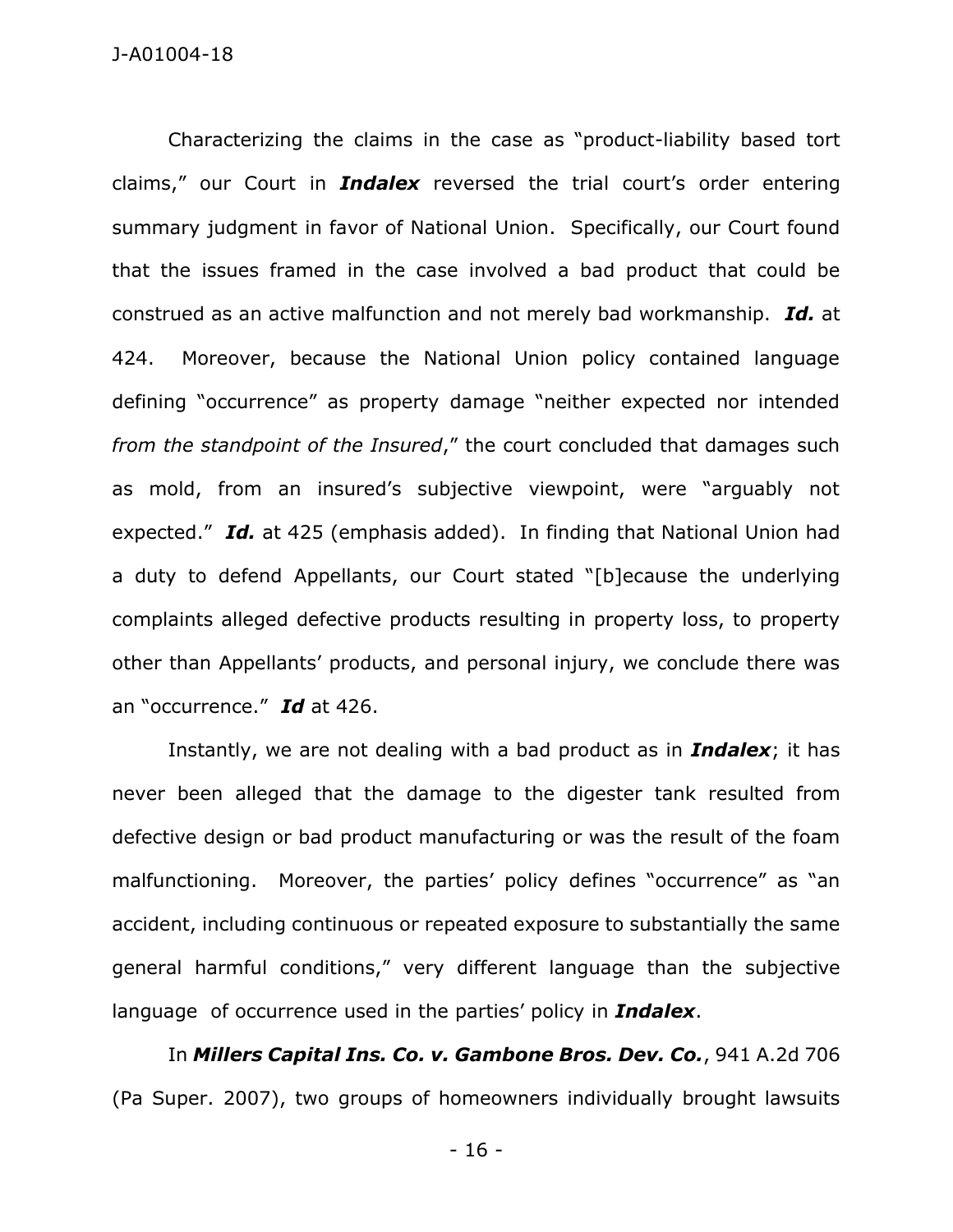Characterizing the claims in the case as "product-liability based tort claims," our Court in *Indalex* reversed the trial court's order entering summary judgment in favor of National Union. Specifically, our Court found that the issues framed in the case involved a bad product that could be construed as an active malfunction and not merely bad workmanship. *Id.* at 424. Moreover, because the National Union policy contained language defining "occurrence" as property damage "neither expected nor intended *from the standpoint of the Insured*," the court concluded that damages such as mold, from an insured's subjective viewpoint, were "arguably not expected." *Id.* at 425 (emphasis added). In finding that National Union had a duty to defend Appellants, our Court stated "[b]ecause the underlying complaints alleged defective products resulting in property loss, to property other than Appellants' products, and personal injury, we conclude there was an "occurrence." *Id* at 426.

Instantly, we are not dealing with a bad product as in *Indalex*; it has never been alleged that the damage to the digester tank resulted from defective design or bad product manufacturing or was the result of the foam malfunctioning. Moreover, the parties' policy defines "occurrence" as "an accident, including continuous or repeated exposure to substantially the same general harmful conditions," very different language than the subjective language of occurrence used in the parties' policy in *Indalex*.

In *Millers Capital Ins. Co. v. Gambone Bros. Dev. Co.*, 941 A.2d 706 (Pa Super. 2007), two groups of homeowners individually brought lawsuits

- 16 -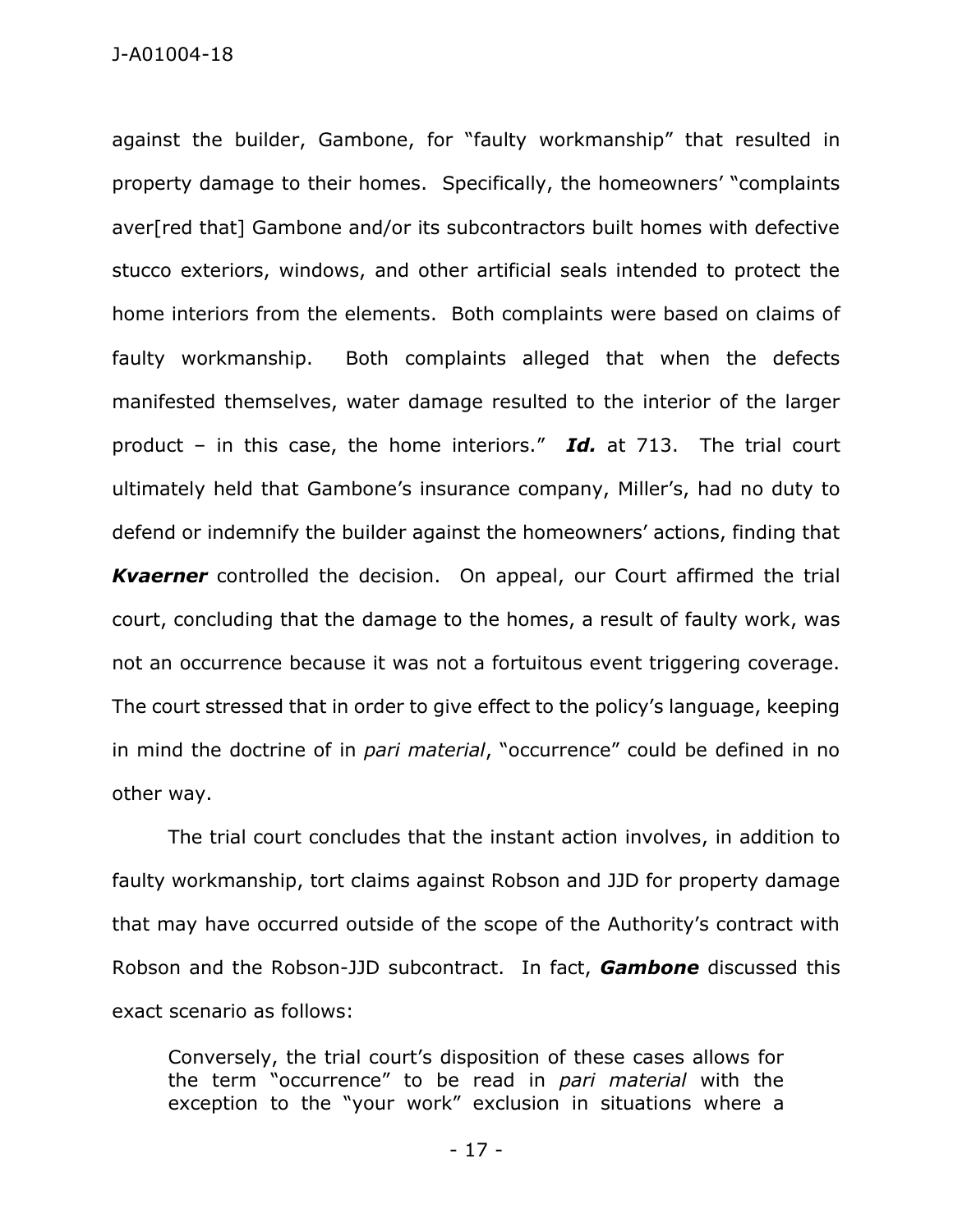against the builder, Gambone, for "faulty workmanship" that resulted in property damage to their homes. Specifically, the homeowners' "complaints aver[red that] Gambone and/or its subcontractors built homes with defective stucco exteriors, windows, and other artificial seals intended to protect the home interiors from the elements. Both complaints were based on claims of faulty workmanship. Both complaints alleged that when the defects manifested themselves, water damage resulted to the interior of the larger product – in this case, the home interiors." *Id.* at 713. The trial court ultimately held that Gambone's insurance company, Miller's, had no duty to defend or indemnify the builder against the homeowners' actions, finding that *Kvaerner* controlled the decision. On appeal, our Court affirmed the trial court, concluding that the damage to the homes, a result of faulty work, was not an occurrence because it was not a fortuitous event triggering coverage. The court stressed that in order to give effect to the policy's language, keeping in mind the doctrine of in *pari material*, "occurrence" could be defined in no other way.

The trial court concludes that the instant action involves, in addition to faulty workmanship, tort claims against Robson and JJD for property damage that may have occurred outside of the scope of the Authority's contract with Robson and the Robson-JJD subcontract. In fact, *Gambone* discussed this exact scenario as follows:

Conversely, the trial court's disposition of these cases allows for the term "occurrence" to be read in *pari material* with the exception to the "your work" exclusion in situations where a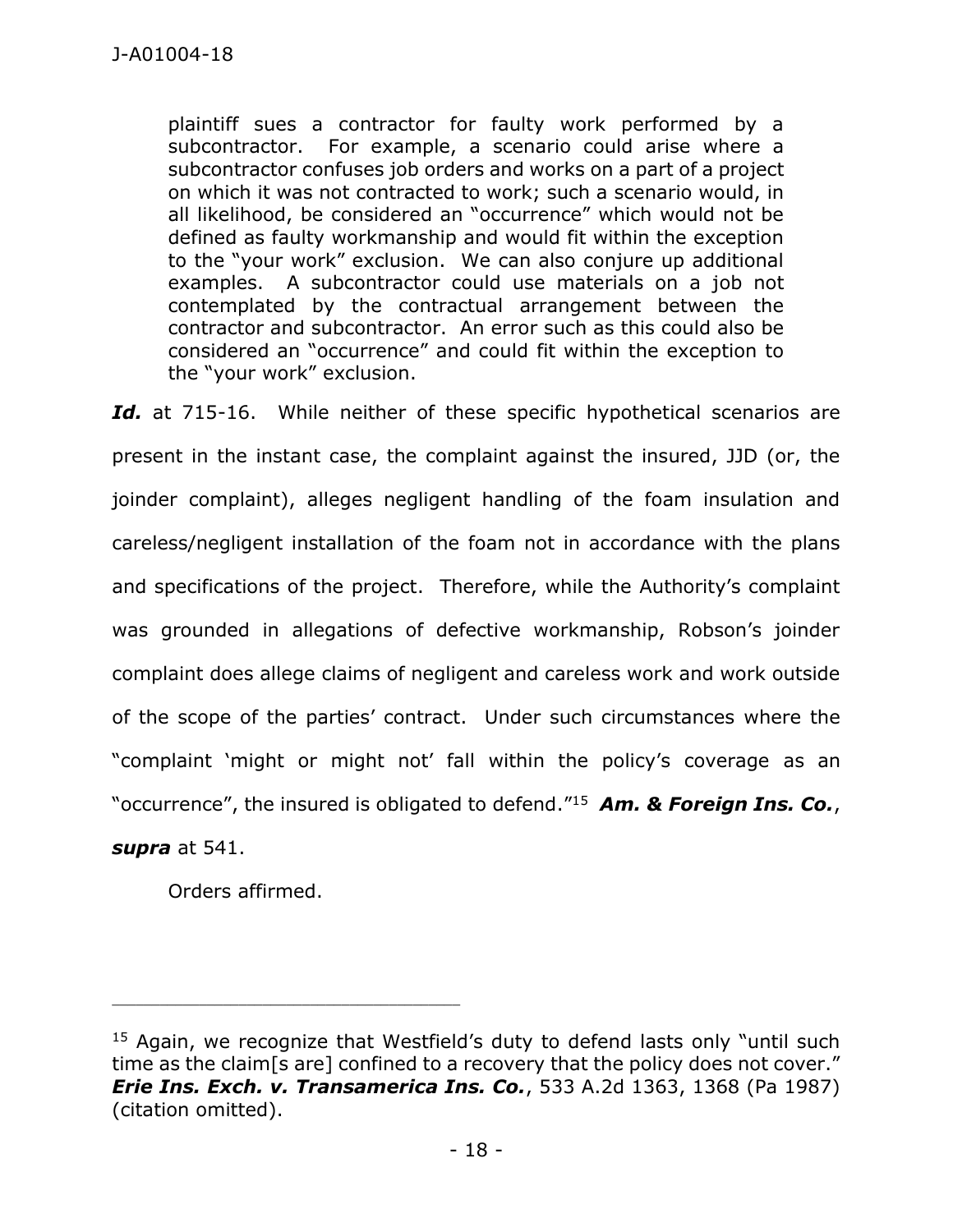plaintiff sues a contractor for faulty work performed by a subcontractor. For example, a scenario could arise where a subcontractor confuses job orders and works on a part of a project on which it was not contracted to work; such a scenario would, in all likelihood, be considered an "occurrence" which would not be defined as faulty workmanship and would fit within the exception to the "your work" exclusion. We can also conjure up additional examples. A subcontractor could use materials on a job not contemplated by the contractual arrangement between the contractor and subcontractor. An error such as this could also be considered an "occurrence" and could fit within the exception to the "your work" exclusion.

Id. at 715-16. While neither of these specific hypothetical scenarios are present in the instant case, the complaint against the insured, JJD (or, the joinder complaint), alleges negligent handling of the foam insulation and careless/negligent installation of the foam not in accordance with the plans and specifications of the project. Therefore, while the Authority's complaint was grounded in allegations of defective workmanship, Robson's joinder complaint does allege claims of negligent and careless work and work outside of the scope of the parties' contract. Under such circumstances where the "complaint 'might or might not' fall within the policy's coverage as an "occurrence", the insured is obligated to defend." 15 *Am. & Foreign Ins. Co.*,

### *supra* at 541.

Orders affirmed.

 $15$  Again, we recognize that Westfield's duty to defend lasts only "until such time as the claim[s are] confined to a recovery that the policy does not cover." *Erie Ins. Exch. v. Transamerica Ins. Co.*, 533 A.2d 1363, 1368 (Pa 1987) (citation omitted).